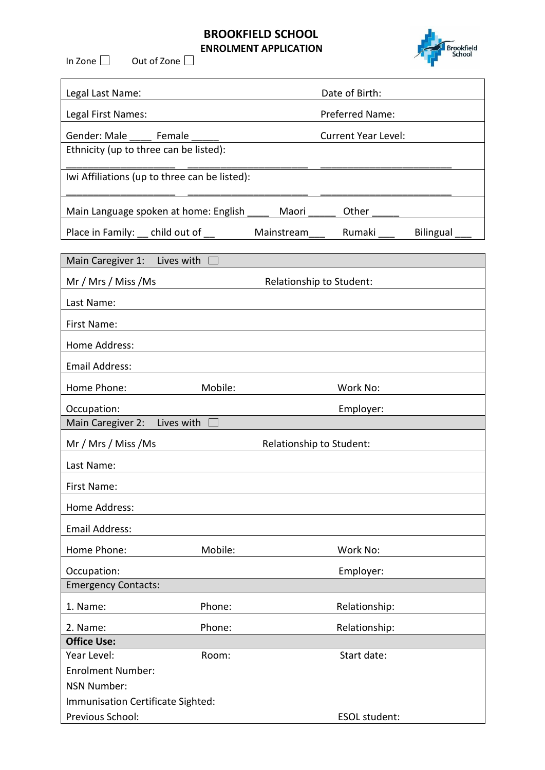## **BROOKFIELD SCHOOL ENROLMENT APPLICATION**

In Zone  $\Box$  Out of Zone  $\Box$ 



| Legal Last Name:                       |                                               |                          | Date of Birth:             |           |  |
|----------------------------------------|-----------------------------------------------|--------------------------|----------------------------|-----------|--|
| Legal First Names:                     |                                               | Preferred Name:          |                            |           |  |
| Gender: Male                           | Female                                        |                          | <b>Current Year Level:</b> |           |  |
| Ethnicity (up to three can be listed): |                                               |                          |                            |           |  |
|                                        | Iwi Affiliations (up to three can be listed): |                          |                            |           |  |
|                                        | Main Language spoken at home: English         | Maori                    | Other                      |           |  |
| Place in Family:                       | child out of                                  | Mainstream               | Rumaki                     | Bilingual |  |
| Main Caregiver 1:                      | Lives with                                    |                          |                            |           |  |
| Mr / Mrs / Miss / Ms                   |                                               |                          | Relationship to Student:   |           |  |
| Last Name:                             |                                               |                          |                            |           |  |
| First Name:                            |                                               |                          |                            |           |  |
| Home Address:                          |                                               |                          |                            |           |  |
| <b>Email Address:</b>                  |                                               |                          |                            |           |  |
| Home Phone:                            | Mobile:                                       |                          | Work No:                   |           |  |
| Occupation:                            |                                               |                          | Employer:                  |           |  |
| Main Caregiver 2:                      | Lives with                                    |                          |                            |           |  |
| Mr / Mrs / Miss / Ms                   |                                               | Relationship to Student: |                            |           |  |
| Last Name:                             |                                               |                          |                            |           |  |
| First Name:                            |                                               |                          |                            |           |  |
| Home Address:                          |                                               |                          |                            |           |  |
| <b>Email Address:</b>                  |                                               |                          |                            |           |  |
| Home Phone:                            | Mobile:                                       |                          | Work No:                   |           |  |
| Occupation:                            |                                               |                          | Employer:                  |           |  |
| <b>Emergency Contacts:</b>             |                                               |                          |                            |           |  |
| 1. Name:                               | Phone:                                        |                          | Relationship:              |           |  |
| 2. Name:                               | Phone:                                        |                          | Relationship:              |           |  |
| <b>Office Use:</b>                     |                                               |                          |                            |           |  |
| Year Level:                            | Room:                                         |                          | Start date:                |           |  |
| <b>Enrolment Number:</b>               |                                               |                          |                            |           |  |
| <b>NSN Number:</b>                     |                                               |                          |                            |           |  |
| Immunisation Certificate Sighted:      |                                               |                          |                            |           |  |

Previous School: ESOL student: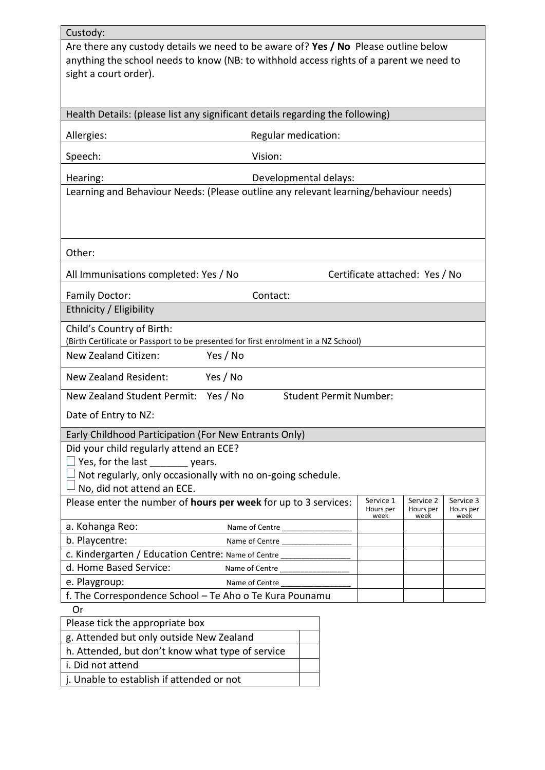| Custody:                                                                                                                                                                                                |                     |                               |                                |                   |                   |
|---------------------------------------------------------------------------------------------------------------------------------------------------------------------------------------------------------|---------------------|-------------------------------|--------------------------------|-------------------|-------------------|
| Are there any custody details we need to be aware of? Yes / No Please outline below<br>anything the school needs to know (NB: to withhold access rights of a parent we need to<br>sight a court order). |                     |                               |                                |                   |                   |
|                                                                                                                                                                                                         |                     |                               |                                |                   |                   |
| Health Details: (please list any significant details regarding the following)                                                                                                                           |                     |                               |                                |                   |                   |
| Allergies:                                                                                                                                                                                              | Regular medication: |                               |                                |                   |                   |
| Speech:                                                                                                                                                                                                 | Vision:             |                               |                                |                   |                   |
| Hearing:                                                                                                                                                                                                |                     | Developmental delays:         |                                |                   |                   |
| Learning and Behaviour Needs: (Please outline any relevant learning/behaviour needs)                                                                                                                    |                     |                               |                                |                   |                   |
| Other:                                                                                                                                                                                                  |                     |                               |                                |                   |                   |
|                                                                                                                                                                                                         |                     |                               |                                |                   |                   |
| All Immunisations completed: Yes / No                                                                                                                                                                   |                     |                               | Certificate attached: Yes / No |                   |                   |
| Family Doctor:<br>Ethnicity / Eligibility                                                                                                                                                               | Contact:            |                               |                                |                   |                   |
|                                                                                                                                                                                                         |                     |                               |                                |                   |                   |
| Child's Country of Birth:<br>(Birth Certificate or Passport to be presented for first enrolment in a NZ School)                                                                                         |                     |                               |                                |                   |                   |
| New Zealand Citizen:                                                                                                                                                                                    | Yes / No            |                               |                                |                   |                   |
| <b>New Zealand Resident:</b>                                                                                                                                                                            | Yes / No            |                               |                                |                   |                   |
| New Zealand Student Permit:                                                                                                                                                                             | Yes / No            | <b>Student Permit Number:</b> |                                |                   |                   |
| Date of Entry to NZ:                                                                                                                                                                                    |                     |                               |                                |                   |                   |
| Early Childhood Participation (For New Entrants Only)                                                                                                                                                   |                     |                               |                                |                   |                   |
| Did your child regularly attend an ECE?                                                                                                                                                                 |                     |                               |                                |                   |                   |
| $\Box$ Yes, for the last $\_\_\_\_\_\_\$ years.                                                                                                                                                         |                     |                               |                                |                   |                   |
| $\Box$ Not regularly, only occasionally with no on-going schedule.                                                                                                                                      |                     |                               |                                |                   |                   |
| $\!$ No, did not attend an ECE.<br>Please enter the number of hours per week for up to 3 services:                                                                                                      |                     |                               | Service 1                      | Service 2         | Service 3         |
|                                                                                                                                                                                                         |                     |                               | Hours per<br>week              | Hours per<br>week | Hours per<br>week |
| a. Kohanga Reo:                                                                                                                                                                                         | Name of Centre      |                               |                                |                   |                   |
| b. Playcentre:                                                                                                                                                                                          | Name of Centre      |                               |                                |                   |                   |
| C. Kindergarten / Education Centre: Name of Centre _____________                                                                                                                                        |                     |                               |                                |                   |                   |
| d. Home Based Service:                                                                                                                                                                                  | Name of Centre      |                               |                                |                   |                   |
| e. Playgroup:                                                                                                                                                                                           | Name of Centre      |                               |                                |                   |                   |
| f. The Correspondence School - Te Aho o Te Kura Pounamu                                                                                                                                                 |                     |                               |                                |                   |                   |
| Or                                                                                                                                                                                                      |                     |                               |                                |                   |                   |
| Please tick the appropriate box                                                                                                                                                                         |                     |                               |                                |                   |                   |
| g. Attended but only outside New Zealand                                                                                                                                                                |                     |                               |                                |                   |                   |
| h. Attended, but don't know what type of service                                                                                                                                                        |                     |                               |                                |                   |                   |
| i. Did not attend                                                                                                                                                                                       |                     |                               |                                |                   |                   |
| j. Unable to establish if attended or not                                                                                                                                                               |                     |                               |                                |                   |                   |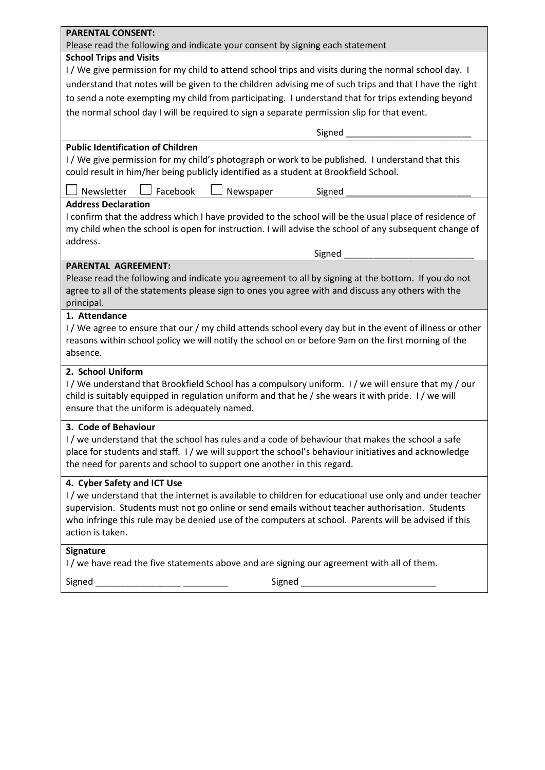| <b>PARENTAL CONSENT:</b>                                                                                                                                                                                                                                                       |
|--------------------------------------------------------------------------------------------------------------------------------------------------------------------------------------------------------------------------------------------------------------------------------|
| Please read the following and indicate your consent by signing each statement                                                                                                                                                                                                  |
| <b>School Trips and Visits</b>                                                                                                                                                                                                                                                 |
| I / We give permission for my child to attend school trips and visits during the normal school day. I                                                                                                                                                                          |
| understand that notes will be given to the children advising me of such trips and that I have the right                                                                                                                                                                        |
| to send a note exempting my child from participating. I understand that for trips extending beyond                                                                                                                                                                             |
| the normal school day I will be required to sign a separate permission slip for that event.                                                                                                                                                                                    |
| Signed ______                                                                                                                                                                                                                                                                  |
| <b>Public Identification of Children</b>                                                                                                                                                                                                                                       |
| I/We give permission for my child's photograph or work to be published. I understand that this<br>could result in him/her being publicly identified as a student at Brookfield School.                                                                                         |
| Facebook<br>Newsletter<br>Newspaper<br>Signed                                                                                                                                                                                                                                  |
| <b>Address Declaration</b>                                                                                                                                                                                                                                                     |
| I confirm that the address which I have provided to the school will be the usual place of residence of<br>my child when the school is open for instruction. I will advise the school of any subsequent change of<br>address.                                                   |
| Signed                                                                                                                                                                                                                                                                         |
| <b>PARENTAL AGREEMENT:</b>                                                                                                                                                                                                                                                     |
| Please read the following and indicate you agreement to all by signing at the bottom. If you do not<br>agree to all of the statements please sign to ones you agree with and discuss any others with the<br>principal.                                                         |
| 1. Attendance                                                                                                                                                                                                                                                                  |
| I/We agree to ensure that our / my child attends school every day but in the event of illness or other<br>reasons within school policy we will notify the school on or before 9am on the first morning of the<br>absence.                                                      |
| 2. School Uniform                                                                                                                                                                                                                                                              |
| I/We understand that Brookfield School has a compulsory uniform. I/we will ensure that my/our<br>child is suitably equipped in regulation uniform and that he / she wears it with pride. I/ we will<br>ensure that the uniform is adequately named.                            |
| 3. Code of Behaviour                                                                                                                                                                                                                                                           |
| I/we understand that the school has rules and a code of behaviour that makes the school a safe<br>place for students and staff. I/we will support the school's behaviour initiatives and acknowledge<br>the need for parents and school to support one another in this regard. |
| 4. Cyber Safety and ICT Use                                                                                                                                                                                                                                                    |
| I/we understand that the internet is available to children for educational use only and under teacher<br>supervision. Students must not go online or send emails without teacher authorisation. Students                                                                       |
| who infringe this rule may be denied use of the computers at school. Parents will be advised if this<br>action is taken.                                                                                                                                                       |
| <b>Signature</b><br>I/we have read the five statements above and are signing our agreement with all of them.                                                                                                                                                                   |
|                                                                                                                                                                                                                                                                                |
| Signed _                                                                                                                                                                                                                                                                       |